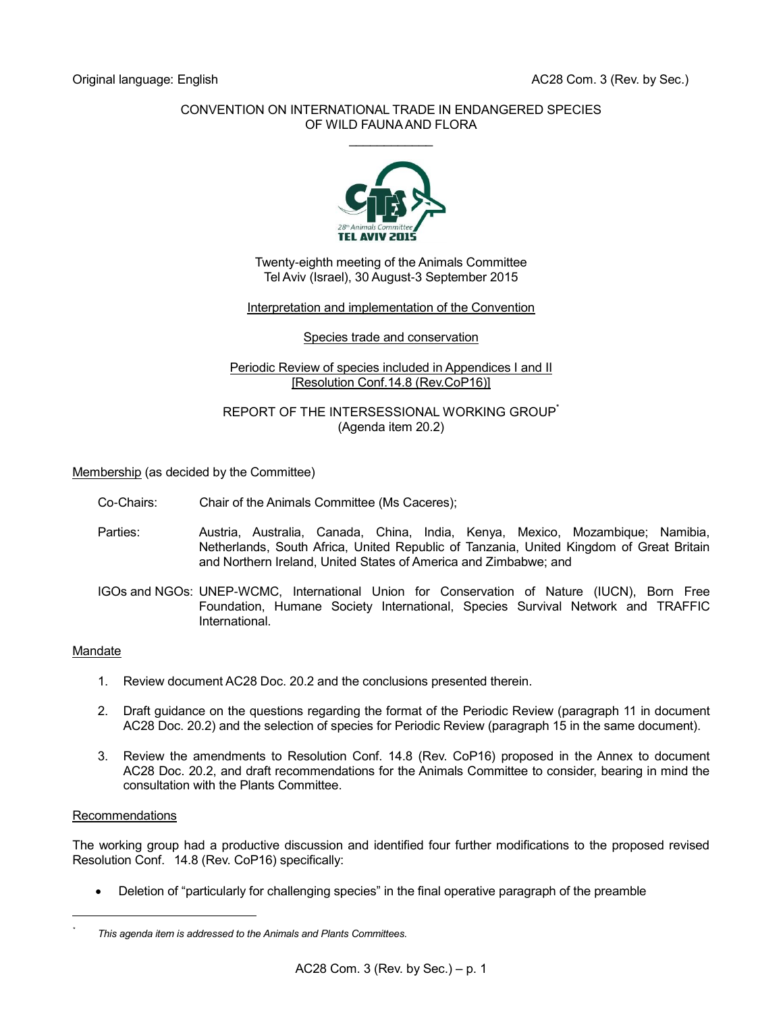#### CONVENTION ON INTERNATIONAL TRADE IN ENDANGERED SPECIES OF WILD FAUNA AND FLORA  $\mathcal{L}$  . The set of the set of the set of the set of the set of the set of the set of the set of the set of the set of the set of the set of the set of the set of the set of the set of the set of the set of the set of t



Twenty-eighth meeting of the Animals Committee Tel Aviv (Israel), 30 August-3 September 2015

# Interpretation and implementation of the Convention

#### Species trade and conservation

### Periodic Review of species included in Appendices I and II [Resolution Conf.14.8 (Rev.CoP16)]

### REPORT OF THE INTERSESSIONAL WORKING GROUP (Agenda item 20.2)

Membership (as decided by the Committee)

- Co-Chairs: Chair of the Animals Committee (Ms Caceres);
- Parties: Austria, Australia, Canada, China, India, Kenya, Mexico, Mozambique; Namibia, Netherlands, South Africa, United Republic of Tanzania, United Kingdom of Great Britain and Northern Ireland, United States of America and Zimbabwe; and
- IGOs and NGOs: UNEP-WCMC, International Union for Conservation of Nature (IUCN), Born Free Foundation, Humane Society International, Species Survival Network and TRAFFIC International.

#### **Mandate**

- 1. Review document AC28 Doc. 20.2 and the conclusions presented therein.
- 2. Draft guidance on the questions regarding the format of the Periodic Review (paragraph 11 in document AC28 Doc. 20.2) and the selection of species for Periodic Review (paragraph 15 in the same document).
- 3. Review the amendments to Resolution Conf. 14.8 (Rev. CoP16) proposed in the Annex to document AC28 Doc. 20.2, and draft recommendations for the Animals Committee to consider, bearing in mind the consultation with the Plants Committee.

#### Recommendations

l *\**

The working group had a productive discussion and identified four further modifications to the proposed revised Resolution Conf. 14.8 (Rev. CoP16) specifically:

Deletion of "particularly for challenging species" in the final operative paragraph of the preamble

*This agenda item is addressed to the Animals and Plants Committees.*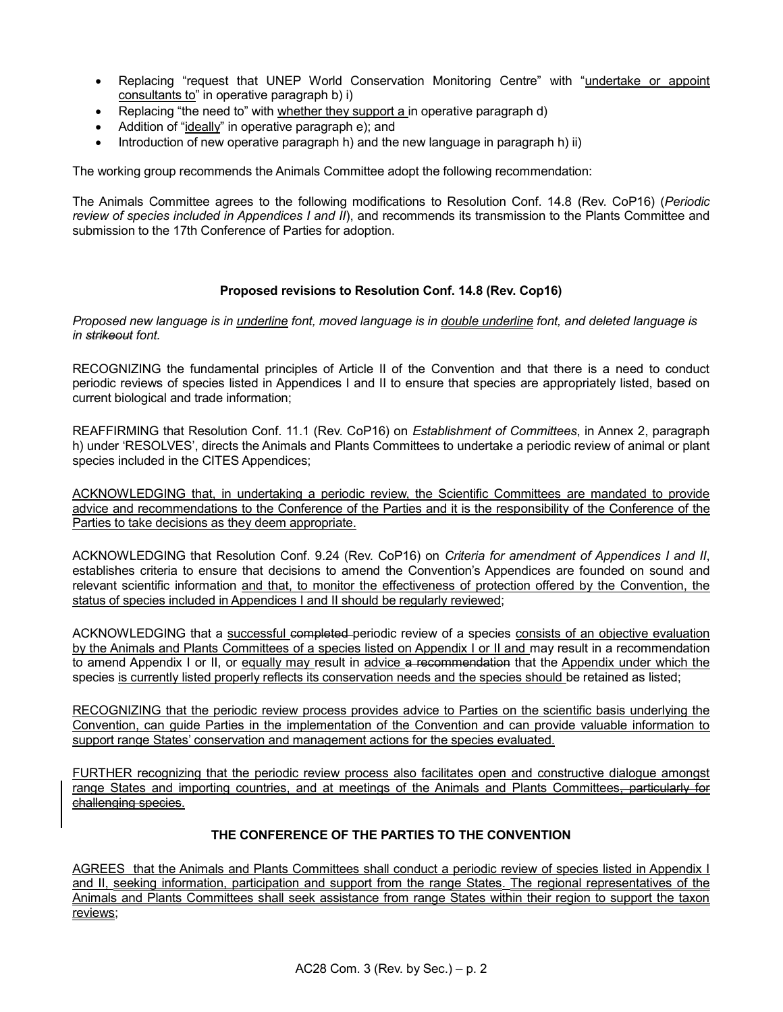- Replacing "request that UNEP World Conservation Monitoring Centre" with "undertake or appoint consultants to" in operative paragraph b) i)
- Replacing "the need to" with whether they support a in operative paragraph d)
- Addition of "ideally" in operative paragraph e); and
- Introduction of new operative paragraph h) and the new language in paragraph h) ii)

The working group recommends the Animals Committee adopt the following recommendation:

The Animals Committee agrees to the following modifications to Resolution Conf. 14.8 (Rev. CoP16) (*Periodic review of species included in Appendices I and II*), and recommends its transmission to the Plants Committee and submission to the 17th Conference of Parties for adoption.

#### **Proposed revisions to Resolution Conf. 14.8 (Rev. Cop16)**

*Proposed new language is in underline font, moved language is in double underline font, and deleted language is in strikeout font.* 

RECOGNIZING the fundamental principles of Article II of the Convention and that there is a need to conduct periodic reviews of species listed in Appendices I and II to ensure that species are appropriately listed, based on current biological and trade information;

REAFFIRMING that Resolution Conf. 11.1 (Rev. CoP16) on *Establishment of Committees*, in Annex 2, paragraph h) under 'RESOLVES', directs the Animals and Plants Committees to undertake a periodic review of animal or plant species included in the CITES Appendices;

ACKNOWLEDGING that, in undertaking a periodic review, the Scientific Committees are mandated to provide advice and recommendations to the Conference of the Parties and it is the responsibility of the Conference of the Parties to take decisions as they deem appropriate.

ACKNOWLEDGING that Resolution Conf. 9.24 (Rev. CoP16) on *Criteria for amendment of Appendices I and II*, establishes criteria to ensure that decisions to amend the Convention's Appendices are founded on sound and relevant scientific information and that, to monitor the effectiveness of protection offered by the Convention, the status of species included in Appendices I and II should be regularly reviewed;

ACKNOWLEDGING that a successful completed periodic review of a species consists of an objective evaluation by the Animals and Plants Committees of a species listed on Appendix I or II and may result in a recommendation to amend Appendix I or II, or equally may result in advice a recommendation that the Appendix under which the species is currently listed properly reflects its conservation needs and the species should be retained as listed;

RECOGNIZING that the periodic review process provides advice to Parties on the scientific basis underlying the Convention, can guide Parties in the implementation of the Convention and can provide valuable information to support range States' conservation and management actions for the species evaluated.

FURTHER recognizing that the periodic review process also facilitates open and constructive dialogue amongst range States and importing countries, and at meetings of the Animals and Plants Committees, particularly for challenging species.

## **THE CONFERENCE OF THE PARTIES TO THE CONVENTION**

AGREES that the Animals and Plants Committees shall conduct a periodic review of species listed in Appendix I and II, seeking information, participation and support from the range States. The regional representatives of the Animals and Plants Committees shall seek assistance from range States within their region to support the taxon reviews;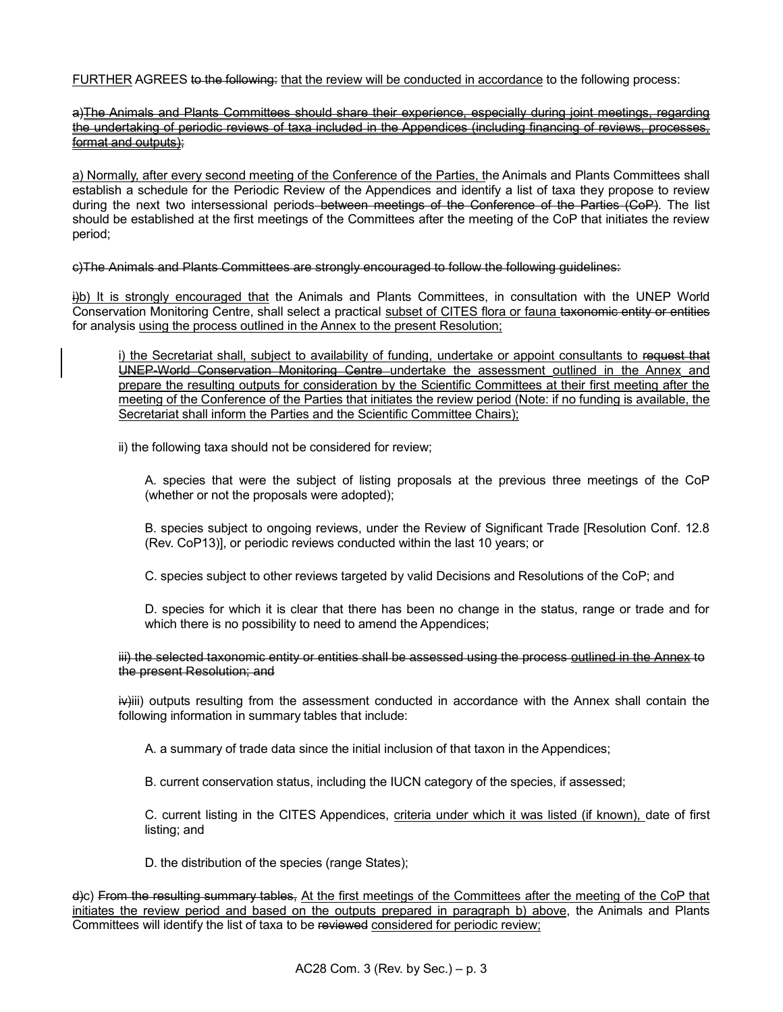FURTHER AGREES to the following: that the review will be conducted in accordance to the following process:

a)The Animals and Plants Committees should share their experience, especially during joint meetings, regarding the undertaking of periodic reviews of taxa included in the Appendices (including financing of reviews, processes, format and outputs);

a) Normally, after every second meeting of the Conference of the Parties, the Animals and Plants Committees shall establish a schedule for the Periodic Review of the Appendices and identify a list of taxa they propose to review during the next two intersessional periods–between meetings of the Conference of the Parties (CoP). The list should be established at the first meetings of the Committees after the meeting of the CoP that initiates the review period;

c)The Animals and Plants Committees are strongly encouraged to follow the following guidelines:

i)b) It is strongly encouraged that the Animals and Plants Committees, in consultation with the UNEP World Conservation Monitoring Centre, shall select a practical subset of CITES flora or fauna taxonomic entity or entities for analysis using the process outlined in the Annex to the present Resolution;

i) the Secretariat shall, subject to availability of funding, undertake or appoint consultants to request that UNEP-World Conservation Monitoring Centre undertake the assessment outlined in the Annex and prepare the resulting outputs for consideration by the Scientific Committees at their first meeting after the meeting of the Conference of the Parties that initiates the review period (Note: if no funding is available, the Secretariat shall inform the Parties and the Scientific Committee Chairs);

ii) the following taxa should not be considered for review;

A. species that were the subject of listing proposals at the previous three meetings of the CoP (whether or not the proposals were adopted);

B. species subject to ongoing reviews, under the Review of Significant Trade [Resolution Conf. 12.8 (Rev. CoP13)], or periodic reviews conducted within the last 10 years; or

C. species subject to other reviews targeted by valid Decisions and Resolutions of the CoP; and

D. species for which it is clear that there has been no change in the status, range or trade and for which there is no possibility to need to amend the Appendices;

iii) the selected taxonomic entity or entities shall be assessed using the process outlined in the Annex to the present Resolution; and

 $\overline{iv}$ iii) outputs resulting from the assessment conducted in accordance with the Annex shall contain the following information in summary tables that include:

A. a summary of trade data since the initial inclusion of that taxon in the Appendices;

B. current conservation status, including the IUCN category of the species, if assessed;

C. current listing in the CITES Appendices, criteria under which it was listed (if known), date of first listing; and

D. the distribution of the species (range States);

d)c) From the resulting summary tables, At the first meetings of the Committees after the meeting of the CoP that initiates the review period and based on the outputs prepared in paragraph b) above, the Animals and Plants Committees will identify the list of taxa to be reviewed considered for periodic review;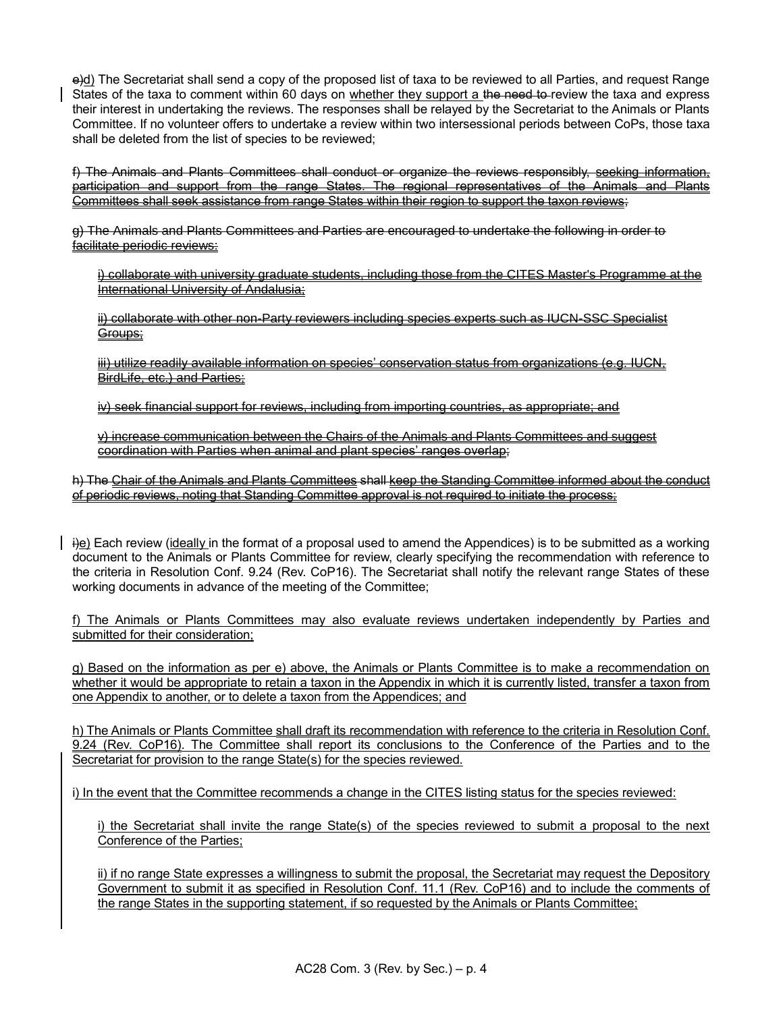e)d) The Secretariat shall send a copy of the proposed list of taxa to be reviewed to all Parties, and request Range States of the taxa to comment within 60 days on whether they support a the need to-review the taxa and express their interest in undertaking the reviews. The responses shall be relayed by the Secretariat to the Animals or Plants Committee. If no volunteer offers to undertake a review within two intersessional periods between CoPs, those taxa shall be deleted from the list of species to be reviewed;

f) The Animals and Plants Committees shall conduct or organize the reviews responsibly, seeking information, participation and support from the range States. The regional representatives of the Animals and Plants Committees shall seek assistance from range States within their region to support the taxon reviews:

g) The Animals and Plants Committees and Parties are encouraged to undertake the following in order to facilitate periodic reviews:

i) collaborate with university graduate students, including those from the CITES Master's Programme at the International University of Andalusia;

ii) collaborate with other non-Party reviewers including species experts such as IUCN-SSC Specialist Groups;

iii) utilize readily available information on species' conservation status from organizations (e.g. IUCN, BirdLife, etc.) and Parties;

iv) seek financial support for reviews, including from importing countries, as appropriate; and

v) increase communication between the Chairs of the Animals and Plants Committees and suggest coordination with Parties when animal and plant species' ranges overlap;

h) The Chair of the Animals and Plants Committees shall keep the Standing Committee informed about the conduct of periodic reviews, noting that Standing Committee approval is not required to initiate the process;

 $\ddot{\theta}$ ) Each review (ideally in the format of a proposal used to amend the Appendices) is to be submitted as a working document to the Animals or Plants Committee for review, clearly specifying the recommendation with reference to the criteria in Resolution Conf. 9.24 (Rev. CoP16). The Secretariat shall notify the relevant range States of these working documents in advance of the meeting of the Committee;

f) The Animals or Plants Committees may also evaluate reviews undertaken independently by Parties and submitted for their consideration;

g) Based on the information as per e) above, the Animals or Plants Committee is to make a recommendation on whether it would be appropriate to retain a taxon in the Appendix in which it is currently listed, transfer a taxon from one Appendix to another, or to delete a taxon from the Appendices; and

h) The Animals or Plants Committee shall draft its recommendation with reference to the criteria in Resolution Conf. 9.24 (Rev. CoP16). The Committee shall report its conclusions to the Conference of the Parties and to the Secretariat for provision to the range State(s) for the species reviewed.

i) In the event that the Committee recommends a change in the CITES listing status for the species reviewed:

i) the Secretariat shall invite the range State(s) of the species reviewed to submit a proposal to the next Conference of the Parties;

ii) if no range State expresses a willingness to submit the proposal, the Secretariat may request the Depository Government to submit it as specified in Resolution Conf. 11.1 (Rev. CoP16) and to include the comments of the range States in the supporting statement, if so requested by the Animals or Plants Committee;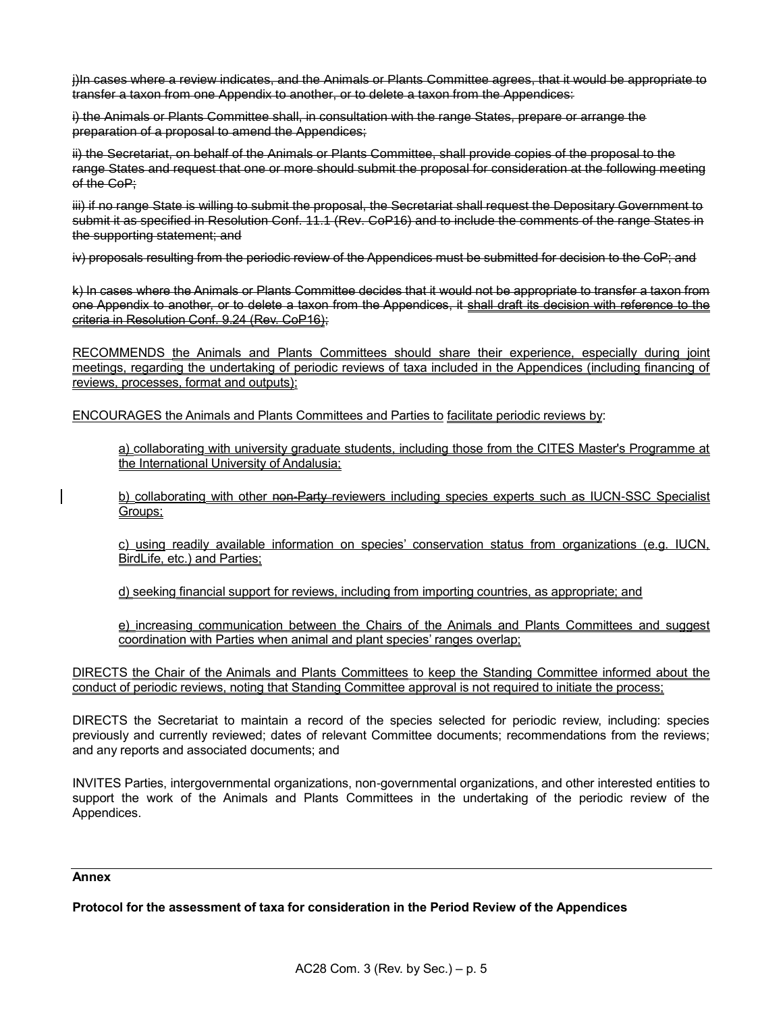j)In cases where a review indicates, and the Animals or Plants Committee agrees, that it would be appropriate to transfer a taxon from one Appendix to another, or to delete a taxon from the Appendices:

i) the Animals or Plants Committee shall, in consultation with the range States, prepare or arrange the preparation of a proposal to amend the Appendices;

ii) the Secretariat, on behalf of the Animals or Plants Committee, shall provide copies of the proposal to the range States and request that one or more should submit the proposal for consideration at the following meeting of the CoP:

iii) if no range State is willing to submit the proposal, the Secretariat shall request the Depositary Government to submit it as specified in Resolution Conf. 11.1 (Rev. CoP16) and to include the comments of the range States in the supporting statement; and

iv) proposals resulting from the periodic review of the Appendices must be submitted for decision to the CoP; and

k) In cases where the Animals or Plants Committee decides that it would not be appropriate to transfer a taxon from one Appendix to another, or to delete a taxon from the Appendices, it shall draft its decision with reference to the criteria in Resolution Conf. 9.24 (Rev. CoP16);

RECOMMENDS the Animals and Plants Committees should share their experience, especially during joint meetings, regarding the undertaking of periodic reviews of taxa included in the Appendices (including financing of reviews, processes, format and outputs);

ENCOURAGES the Animals and Plants Committees and Parties to facilitate periodic reviews by:

a) collaborating with university graduate students, including those from the CITES Master's Programme at the International University of Andalusia;

b) collaborating with other non-Party-reviewers including species experts such as IUCN-SSC Specialist Groups;

c) using readily available information on species' conservation status from organizations (e.g. IUCN, BirdLife, etc.) and Parties;

d) seeking financial support for reviews, including from importing countries, as appropriate; and

e) increasing communication between the Chairs of the Animals and Plants Committees and suggest coordination with Parties when animal and plant species' ranges overlap;

DIRECTS the Chair of the Animals and Plants Committees to keep the Standing Committee informed about the conduct of periodic reviews, noting that Standing Committee approval is not required to initiate the process;

DIRECTS the Secretariat to maintain a record of the species selected for periodic review, including: species previously and currently reviewed; dates of relevant Committee documents; recommendations from the reviews; and any reports and associated documents; and

INVITES Parties, intergovernmental organizations, non-governmental organizations, and other interested entities to support the work of the Animals and Plants Committees in the undertaking of the periodic review of the Appendices.

#### **Annex**

**Protocol for the assessment of taxa for consideration in the Period Review of the Appendices**